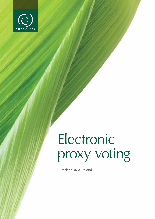

# Electronic proxy voting

Euroclear UK & Ireland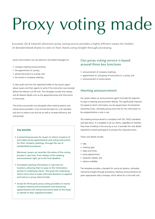# Proxy voting made

Euroclear UK & Ireland's electronic proxy voting service provides a highly efficient means for holders of dematerialised shares to vote on their shares using straight-through processing.

Issuers and investors can use electronic formatted messages for:

- company meeting announcements;
- the appointment of a proxy;
- • giving instructions to a proxy; and
- the results of company meetings.

A clear audit trail from the registered holder to the issuer's agent allows issuers and their agents to verify if the instruction was received before the relevant cut-off time. The messages include time stamps and all relevant details such as the appointed proxy and instructions to that proxy.

The service we provide runs alongside other existing systems and voting service providers. It has formed the basis for a UK standard, and aims to reduce cost and risk as well as increase efficiency and voting levels.

### **Key benefits**

• A streamlined process for issuers to inform investors of and collect proxy appointments and voting instructions for their company meetings, through the use of standardised procedures.

Moreover, issuers can ascertain the status of the voting process in real time, from release of the meeting announcement right up to the final deadline.

- • Formatted meeting information in real time for investors, allowing them to pass on the information quickly to underlying clients. This gives the underlying clients more time to make informed decisions to appoint and instruct a proxy electronically.
- • Access for third-party proxy voting providers to receive company meeting announcements and send proxy appointments and voting instructions back to the issuer on behalf of their registered holders.

# Our proxy voting service is based around three key functions

- announcement of company meetings;
- appointment of, and giving of instructions to, a proxy; and
- announcement of voting results.

## Meeting announcement

Our system allows an announcement agent (normally the registrar) to input a meeting announcement directly. This significantly improves the speed at which information can be passed down the beneficial ownership chain, ultimately giving more time for the information to be analysed before a vote is cast.

The meeting announcement is compliant with ISO 15022 standards and data flows. It is available to all our clients, regardless of whether they have a holding in the security or not. It provides the core details required by market participants to process the corporate action.

These core details include:

- ISIN·
- meeting type;
- dates and times;
- proxy appointment;
- resolution details; and
- options available.

The template provides a standard for use by all systems, ultimately improving straight-through processing. Meeting announcements are given appropriate status changes, which allows for a full audit trail.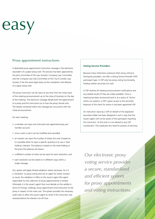# easy

# Proxy appointment instructions

A dedicated proxy appointment instruction message is the electronic equivalent of a paper proxy card. The process has been approved by the joint committee of the Law Society's Company Law Committee and the Company Law Sub-Committee of the City of London Law Society. It has the same legal status as the completion and delivery of a paper proxy card.

The proxy instruction can be input at any time from the initial input of the meeting announcement up to the close of business on the day of the meeting. The electronic message details both the appointment of a proxy and the instructions as to how the proxy should vote. The details contained within the message are concurrent with the initial announcement.

For each meeting:

- a member can input one instruction per appointed proxy, per member account;
- once a vote is cast it can be modified and cancelled:
- an investor can input the number of shares the vote is based on. It is possible either to input a specific quantity or to use a 'total holding' indicator. This balance is based on the total holding at the point the balances are drawn;
- a different number of votes can be input for each resolution; and
- each resolution can be voted on in different ways within a single message.

Our system will apply limited validation where necessary. As it is a 'facilitator' to proxy voting and not an agent for either investor or issuer, the validation it offers to the issuer's agent (the agent responsible for the collection of proxy appointments) is limited. Ultimately it is the issuer's agent that must decide on the validity in terms of timings, holdings, proxy appointment and instruction to the proxy in respect of the votes cast. The system provides the necessary audit trails to allow the issuer's agent to verify if the instruction was received before the relevant cut-off time.

#### **Voting Service Providers**

Because many institutions outsource their proxy voting to third-party providers, we offer a Voting Service Provider (VSP) participant type. A VSP only has proxy voting functionality, holding neither securities nor cash.

A VSP receives all meeting announcement notifications and any related results (if they are made available). Once a meeting has been announced (and is at a status of 'Active' within our system), a VSP is given access to the securities balances of the client for whom it has been appointed VSP.

An instruction input by a VSP on behalf of the registered securities holder has been designed in such a way that the issuer's agent will not be aware of the participant inputting the instruction. To this end it is not alerted to any VSP involvement. This eradicates the need for powers of attorney.

*Our electronic proxy voting service provides a secure, standardised and efficient system for proxy appointments and voting instructions.*